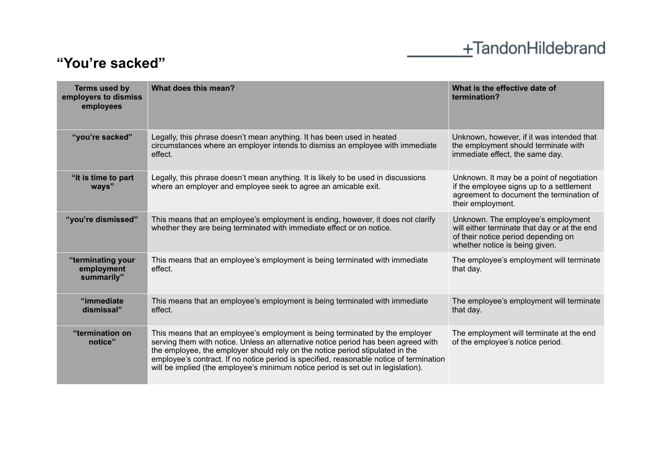## +TandonHildebrand

## **"You're sacked"**

| Terms used by<br>employers to dismiss<br>employees | What does this mean?                                                                                                                                                                                                                                                                                                                                                                                                                | What is the effective date of<br>termination?                                                                                                               |
|----------------------------------------------------|-------------------------------------------------------------------------------------------------------------------------------------------------------------------------------------------------------------------------------------------------------------------------------------------------------------------------------------------------------------------------------------------------------------------------------------|-------------------------------------------------------------------------------------------------------------------------------------------------------------|
| "you're sacked"                                    | Legally, this phrase doesn't mean anything. It has been used in heated<br>circumstances where an employer intends to dismiss an employee with immediate<br>effect.                                                                                                                                                                                                                                                                  | Unknown, however, if it was intended that<br>the employment should terminate with<br>immediate effect, the same day.                                        |
| "it is time to part<br>ways"                       | Legally, this phrase doesn't mean anything. It is likely to be used in discussions<br>where an employer and employee seek to agree an amicable exit.                                                                                                                                                                                                                                                                                | Unknown. It may be a point of negotiation<br>if the employee signs up to a settlement<br>agreement to document the termination of<br>their employment.      |
| "you're dismissed"                                 | This means that an employee's employment is ending, however, it does not clarify<br>whether they are being terminated with immediate effect or on notice.                                                                                                                                                                                                                                                                           | Unknown. The employee's employment<br>will either terminate that day or at the end<br>of their notice period depending on<br>whether notice is being given. |
| "terminating your<br>employment<br>summarily"      | This means that an employee's employment is being terminated with immediate<br>effect.                                                                                                                                                                                                                                                                                                                                              | The employee's employment will terminate<br>that day.                                                                                                       |
| "immediate<br>dismissal"                           | This means that an employee's employment is being terminated with immediate<br>effect.                                                                                                                                                                                                                                                                                                                                              | The employee's employment will terminate<br>that day.                                                                                                       |
| "termination on<br>notice"                         | This means that an employee's employment is being terminated by the employer<br>serving them with notice. Unless an alternative notice period has been agreed with<br>the employee, the employer should rely on the notice period stipulated in the<br>employee's contract. If no notice period is specified, reasonable notice of termination<br>will be implied (the employee's minimum notice period is set out in legislation). | The employment will terminate at the end<br>of the employee's notice period.                                                                                |